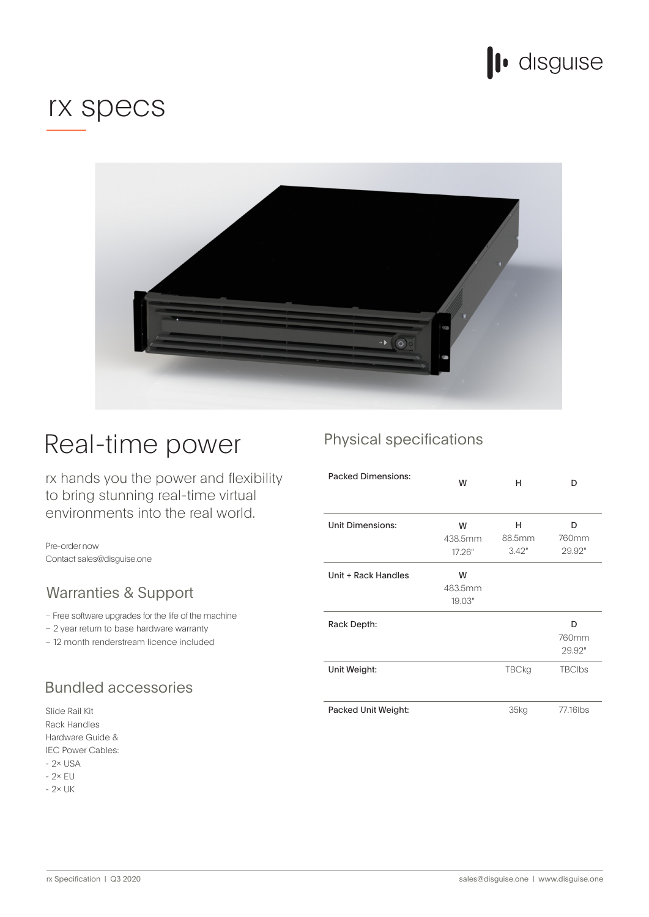

## rx specs



## Real-time power

rx hands you the power and flexibility to bring stunning real-time virtual environments into the real world.

Pre-order now Contact sales@disguise.one

### Warranties & Support

– Free software upgrades for the life of the machine

 $-2$  year return to base hardware warranty

- 12 month renderstream licence included

### **Bundled accessories**

Slide Rail Kit Rack Handles & Guide Hardware IEC Power Cables:  $-2 \times$  USA  $-2\times$  EU

 $-2 \times UK$ 

## Physical specifications

| <b>Packed Dimensions:</b> | W                      | н                    | D                    |
|---------------------------|------------------------|----------------------|----------------------|
| <b>Unit Dimensions:</b>   | W<br>438.5mm<br>17.26" | н<br>88.5mm<br>3.42" | D<br>760mm<br>29.92" |
| Unit + Rack Handles       | W<br>483.5mm<br>19.03" |                      |                      |
| Rack Depth:               |                        |                      | n<br>760mm<br>29.92" |
| Unit Weight:              |                        | <b>TBCkg</b>         | <b>TBClbs</b>        |
| Packed Unit Weight:       |                        | 35kg                 | 77.16lbs             |